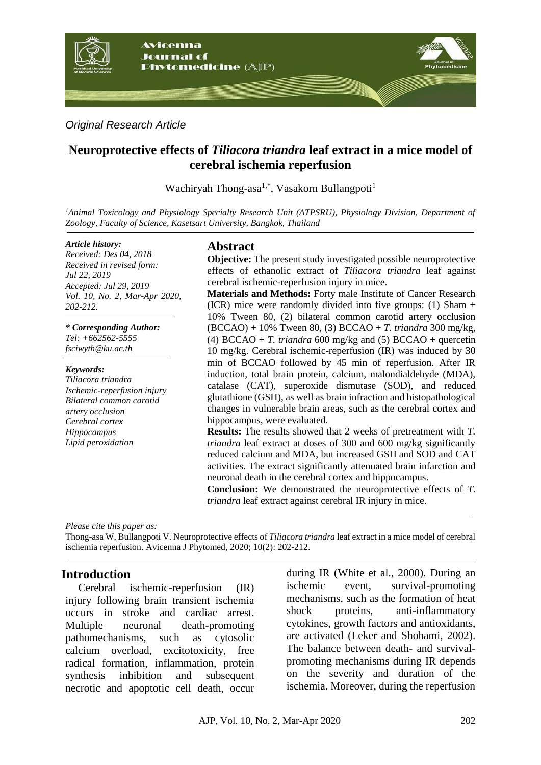

### *Original Research Article*

# **Neuroprotective effects of** *Tiliacora triandra* **leaf extract in a mice model of cerebral ischemia reperfusion**

Wachiryah Thong-asa<sup>1,\*</sup>, Vasakorn Bullangpoti<sup>1</sup>

*<sup>1</sup>Animal Toxicology and Physiology Specialty Research Unit (ATPSRU), Physiology Division, Department of Zoology, Faculty of Science, Kasetsart University, Bangkok, Thailand*

#### *Article history:*

*Received: Des 04, 2018 Received in revised form: Jul 22, 2019 Accepted: Jul 29, 2019 Vol. 10, No. 2, Mar-Apr 2020, 202-212.*

*\* Corresponding Author:*

*Tel: +662562-5555 fsciwyth@ku.ac.th*

#### *Keywords:*

*Tiliacora triandra Ischemic-reperfusion injury Bilateral common carotid artery occlusion Cerebral cortex Hippocampus Lipid peroxidation*

# **Abstract**

**Objective:** The present study investigated possible neuroprotective effects of ethanolic extract of *Tiliacora triandra* leaf against cerebral ischemic-reperfusion injury in mice.

**Materials and Methods:** Forty male Institute of Cancer Research (ICR) mice were randomly divided into five groups:  $(1)$  Sham + 10% Tween 80, (2) bilateral common carotid artery occlusion (BCCAO) + 10% Tween 80, (3) BCCAO + *T. triandra* 300 mg/kg, (4) BCCAO + *T. triandra* 600 mg/kg and (5) BCCAO + quercetin 10 mg/kg. Cerebral ischemic-reperfusion (IR) was induced by 30 min of BCCAO followed by 45 min of reperfusion. After IR induction, total brain protein, calcium, malondialdehyde (MDA), catalase (CAT), superoxide dismutase (SOD), and reduced glutathione (GSH), as well as brain infraction and histopathological changes in vulnerable brain areas, such as the cerebral cortex and hippocampus, were evaluated.

**Results:** The results showed that 2 weeks of pretreatment with *T. triandra* leaf extract at doses of 300 and 600 mg/kg significantly reduced calcium and MDA, but increased GSH and SOD and CAT activities. The extract significantly attenuated brain infarction and neuronal death in the cerebral cortex and hippocampus.

**Conclusion:** We demonstrated the neuroprotective effects of *T. triandra* leaf extract against cerebral IR injury in mice.

*Please cite this paper as:* 

Thong-asa W, Bullangpoti V. Neuroprotective effects of *Tiliacora triandra* leaf extract in a mice model of cerebral ischemia reperfusion. Avicenna J Phytomed, 2020; 10(2): 202-212.

## **Introduction**

Cerebral ischemic-reperfusion (IR) injury following brain transient ischemia occurs in stroke and cardiac arrest. Multiple neuronal death-promoting pathomechanisms, such as cytosolic calcium overload, excitotoxicity, free radical formation, inflammation, protein synthesis inhibition and subsequent necrotic and apoptotic cell death, occur during IR (White et al., 2000). During an ischemic event, survival-promoting mechanisms, such as the formation of heat shock proteins, anti-inflammatory cytokines, growth factors and antioxidants, are activated (Leker and Shohami, 2002). The balance between death- and survivalpromoting mechanisms during IR depends on the severity and duration of the ischemia. Moreover, during the reperfusion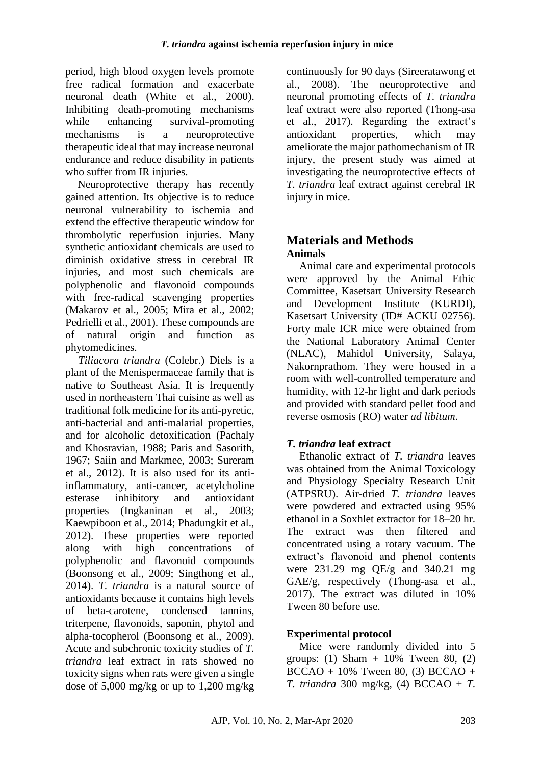period, high blood oxygen levels promote free radical formation and exacerbate neuronal death (White et al., 2000). Inhibiting death-promoting mechanisms while enhancing survival-promoting mechanisms is a neuroprotective therapeutic ideal that may increase neuronal endurance and reduce disability in patients who suffer from IR injuries.

Neuroprotective therapy has recently gained attention. Its objective is to reduce neuronal vulnerability to ischemia and extend the effective therapeutic window for thrombolytic reperfusion injuries. Many synthetic antioxidant chemicals are used to diminish oxidative stress in cerebral IR injuries, and most such chemicals are polyphenolic and flavonoid compounds with free-radical scavenging properties (Makarov et al., 2005; Mira et al., 2002; Pedrielli et al., 2001). These compounds are of natural origin and function as phytomedicines.

*Tiliacora triandra* (Colebr.) Diels is a plant of the Menispermaceae family that is native to Southeast Asia. It is frequently used in northeastern Thai cuisine as well as traditional folk medicine for its anti-pyretic, anti-bacterial and anti-malarial properties, and for alcoholic detoxification (Pachaly and Khosravian, 1988; Paris and Sasorith, 1967; Saiin and Markmee, 2003; Sureram et al., 2012). It is also used for its antiinflammatory, anti-cancer, acetylcholine esterase inhibitory and antioxidant properties (Ingkaninan et al., 2003; Kaewpiboon et al., 2014; Phadungkit et al., 2012). These properties were reported along with high concentrations of polyphenolic and flavonoid compounds (Boonsong et al., 2009; Singthong et al., 2014). *T. triandra* is a natural source of antioxidants because it contains high levels of beta-carotene, condensed tannins, triterpene, flavonoids, saponin, phytol and alpha-tocopherol (Boonsong et al., 2009). Acute and subchronic toxicity studies of *T. triandra* leaf extract in rats showed no toxicity signs when rats were given a single dose of 5,000 mg/kg or up to 1,200 mg/kg

continuously for 90 days (Sireeratawong et al., 2008). The neuroprotective and neuronal promoting effects of *T. triandra* leaf extract were also reported (Thong-asa et al., 2017). Regarding the extract's antioxidant properties, which may ameliorate the major pathomechanism of IR injury, the present study was aimed at investigating the neuroprotective effects of *T. triandra* leaf extract against cerebral IR injury in mice.

# **Materials and Methods Animals**

Animal care and experimental protocols were approved by the Animal Ethic Committee, Kasetsart University Research and Development Institute (KURDI), Kasetsart University (ID# ACKU 02756). Forty male ICR mice were obtained from the National Laboratory Animal Center (NLAC), Mahidol University, Salaya, Nakornprathom. They were housed in a room with well-controlled temperature and humidity, with 12-hr light and dark periods and provided with standard pellet food and reverse osmosis (RO) water *ad libitum*.

# *T. triandra* **leaf extract**

Ethanolic extract of *T. triandra* leaves was obtained from the Animal Toxicology and Physiology Specialty Research Unit (ATPSRU). Air-dried *T. triandra* leaves were powdered and extracted using 95% ethanol in a Soxhlet extractor for 18–20 hr. The extract was then filtered and concentrated using a rotary vacuum. The extract's flavonoid and phenol contents were 231.29 mg QE/g and 340.21 mg GAE/g, respectively (Thong-asa et al., 2017). The extract was diluted in 10% Tween 80 before use.

## **Experimental protocol**

Mice were randomly divided into 5 groups: (1) Sham  $+$  10% Tween 80, (2)  $BCCAO + 10\%$  Tween 80, (3) BCCAO + *T. triandra* 300 mg/kg, (4) BCCAO + *T.*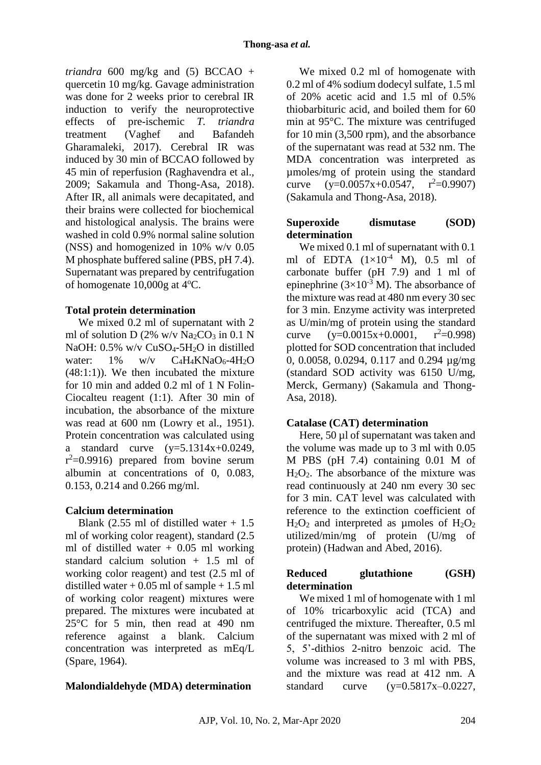*triandra* 600 mg/kg and (5) BCCAO + quercetin 10 mg/kg. Gavage administration was done for 2 weeks prior to cerebral IR induction to verify the neuroprotective effects of pre-ischemic *T. triandra* treatment (Vaghef and Bafandeh Gharamaleki, 2017). Cerebral IR was induced by 30 min of BCCAO followed by 45 min of reperfusion (Raghavendra et al., 2009; Sakamula and Thong-Asa, 2018). After IR, all animals were decapitated, and their brains were collected for biochemical and histological analysis. The brains were washed in cold 0.9% normal saline solution (NSS) and homogenized in 10% w/v 0.05 M phosphate buffered saline (PBS, pH 7.4). Supernatant was prepared by centrifugation of homogenate  $10,000g$  at  $4^{\circ}$ C.

### **Total protein determination**

We mixed 0.2 ml of supernatant with 2 ml of solution D (2% w/v Na<sub>2</sub>CO<sub>3</sub> in 0.1 N NaOH: 0.5% w/v CuSO<sub>4</sub>-5H<sub>2</sub>O in distilled water:  $1\%$  w/v  $C_4H_4KNaO_6-4H_2O$  $(48:1:1)$ ). We then incubated the mixture for 10 min and added 0.2 ml of 1 N Folin-Ciocalteu reagent (1:1). After 30 min of incubation, the absorbance of the mixture was read at 600 nm (Lowry et al., 1951). Protein concentration was calculated using a standard curve  $(y=5.1314x+0.0249)$ ,  $r^2$ =0.9916) prepared from bovine serum albumin at concentrations of 0, 0.083, 0.153, 0.214 and 0.266 mg/ml.

## **Calcium determination**

Blank (2.55 ml of distilled water  $+1.5$ ml of working color reagent), standard (2.5 ml of distilled water  $+$  0.05 ml working standard calcium solution + 1.5 ml of working color reagent) and test (2.5 ml of distilled water  $+0.05$  ml of sample  $+1.5$  ml of working color reagent) mixtures were prepared. The mixtures were incubated at 25°C for 5 min, then read at 490 nm reference against a blank. Calcium concentration was interpreted as mEq/L (Spare, 1964).

# **Malondialdehyde (MDA) determination**

We mixed 0.2 ml of homogenate with 0.2 ml of 4% sodium dodecyl sulfate, 1.5 ml of 20% acetic acid and 1.5 ml of 0.5% thiobarbituric acid, and boiled them for 60 min at 95°C. The mixture was centrifuged for 10 min (3,500 rpm), and the absorbance of the supernatant was read at 532 nm. The MDA concentration was interpreted as µmoles/mg of protein using the standard curve  $(y=0.0057x+0.0547, r^2=0.9907)$ (Sakamula and Thong-Asa, 2018).

### **Superoxide dismutase (SOD) determination**

We mixed 0.1 ml of supernatant with 0.1 ml of EDTA  $(1\times10^{-4}$  M), 0.5 ml of carbonate buffer (pH 7.9) and 1 ml of epinephrine  $(3\times10^{-3} \text{ M})$ . The absorbance of the mixture was read at 480 nm every 30 sec for 3 min. Enzyme activity was interpreted as U/min/mg of protein using the standard curve  $(y=0.0015x+0.0001, r^2=0.998)$ plotted for SOD concentration that included 0, 0.0058, 0.0294, 0.117 and 0.294 µg/mg (standard SOD activity was 6150 U/mg, Merck, Germany) (Sakamula and Thong-Asa, 2018).

## **Catalase (CAT) determination**

Here, 50 µl of supernatant was taken and the volume was made up to 3 ml with 0.05 M PBS (pH 7.4) containing 0.01 M of  $H_2O_2$ . The absorbance of the mixture was read continuously at 240 nm every 30 sec for 3 min. CAT level was calculated with reference to the extinction coefficient of  $H_2O_2$  and interpreted as umoles of  $H_2O_2$ utilized/min/mg of protein (U/mg of protein) (Hadwan and Abed, 2016).

# **Reduced glutathione (GSH) determination**

We mixed 1 ml of homogenate with 1 ml of 10% tricarboxylic acid (TCA) and centrifuged the mixture. Thereafter, 0.5 ml of the supernatant was mixed with 2 ml of 5, 5'-dithios 2-nitro benzoic acid. The volume was increased to 3 ml with PBS, and the mixture was read at 412 nm. A standard curve  $(y=0.5817x-0.0227)$ ,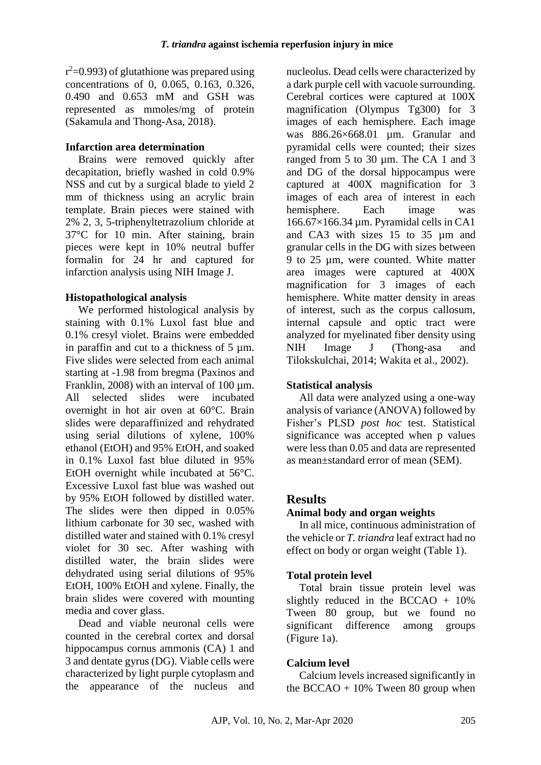$r^2$ =0.993) of glutathione was prepared using concentrations of 0, 0.065, 0.163, 0.326, 0.490 and 0.653 mM and GSH was represented as mmoles/mg of protein (Sakamula and Thong-Asa, 2018).

### **Infarction area determination**

Brains were removed quickly after decapitation, briefly washed in cold 0.9% NSS and cut by a surgical blade to yield 2 mm of thickness using an acrylic brain template. Brain pieces were stained with 2% 2, 3, 5-triphenyltetrazolium chloride at 37°C for 10 min. After staining, brain pieces were kept in 10% neutral buffer formalin for 24 hr and captured for infarction analysis using NIH Image J.

### **Histopathological analysis**

We performed histological analysis by staining with 0.1% Luxol fast blue and 0.1% cresyl violet. Brains were embedded in paraffin and cut to a thickness of 5 µm. Five slides were selected from each animal starting at -1.98 from bregma (Paxinos and Franklin, 2008) with an interval of 100 um. All selected slides were incubated overnight in hot air oven at 60°C. Brain slides were deparaffinized and rehydrated using serial dilutions of xylene, 100% ethanol (EtOH) and 95% EtOH, and soaked in 0.1% Luxol fast blue diluted in 95% EtOH overnight while incubated at 56°C. Excessive Luxol fast blue was washed out by 95% EtOH followed by distilled water. The slides were then dipped in 0.05% lithium carbonate for 30 sec, washed with distilled water and stained with 0.1% cresyl violet for 30 sec. After washing with distilled water, the brain slides were dehydrated using serial dilutions of 95% EtOH, 100% EtOH and xylene. Finally, the brain slides were covered with mounting media and cover glass.

Dead and viable neuronal cells were counted in the cerebral cortex and dorsal hippocampus cornus ammonis (CA) 1 and 3 and dentate gyrus (DG). Viable cells were characterized by light purple cytoplasm and the appearance of the nucleus and nucleolus. Dead cells were characterized by a dark purple cell with vacuole surrounding. Cerebral cortices were captured at 100X magnification (Olympus Tg300) for 3 images of each hemisphere. Each image was 886.26×668.01 µm. Granular and pyramidal cells were counted; their sizes ranged from 5 to 30 µm. The CA 1 and 3 and DG of the dorsal hippocampus were captured at 400X magnification for 3 images of each area of interest in each hemisphere. Each image was 166.67×166.34 µm. Pyramidal cells in CA1 and CA3 with sizes 15 to 35 µm and granular cells in the DG with sizes between 9 to 25 µm, were counted. White matter area images were captured at 400X magnification for 3 images of each hemisphere. White matter density in areas of interest, such as the corpus callosum, internal capsule and optic tract were analyzed for myelinated fiber density using NIH Image J (Thong-asa and Tilokskulchai, 2014; Wakita et al., 2002).

### **Statistical analysis**

All data were analyzed using a one-way analysis of variance (ANOVA) followed by Fisher's PLSD *post hoc* test. Statistical significance was accepted when p values were less than 0.05 and data are represented as mean±standard error of mean (SEM).

## **Results**

## **Animal body and organ weights**

In all mice, continuous administration of the vehicle or *T. triandra* leaf extract had no effect on body or organ weight (Table 1).

### **Total protein level**

Total brain tissue protein level was slightly reduced in the BCCAO  $+$  10% Tween 80 group, but we found no significant difference among groups (Figure 1a).

## **Calcium level**

Calcium levels increased significantly in the BCCAO  $+ 10\%$  Tween 80 group when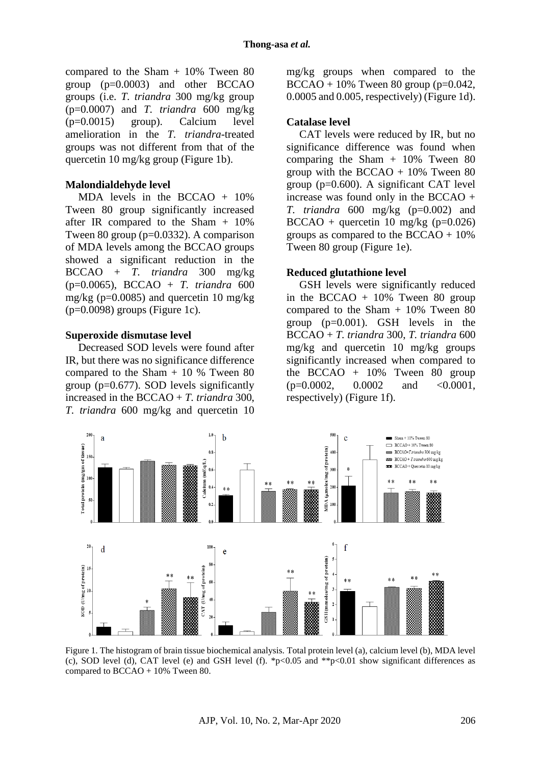compared to the Sham + 10% Tween 80 group (p=0.0003) and other BCCAO groups (i.e. *T. triandra* 300 mg/kg group (p=0.0007) and *T. triandra* 600 mg/kg (p=0.0015) group). Calcium level amelioration in the *T. triandra*-treated groups was not different from that of the quercetin 10 mg/kg group (Figure 1b).

#### **Malondialdehyde level**

MDA levels in the BCCAO + 10% Tween 80 group significantly increased after IR compared to the Sham  $+$  10% Tween 80 group (p=0.0332). A comparison of MDA levels among the BCCAO groups showed a significant reduction in the BCCAO + *T. triandra* 300 mg/kg (p=0.0065), BCCAO + *T. triandra* 600 mg/kg ( $p=0.0085$ ) and quercetin 10 mg/kg  $(p=0.0098)$  groups (Figure 1c).

#### **Superoxide dismutase level**

Decreased SOD levels were found after IR, but there was no significance difference compared to the Sham + 10 % Tween 80 group (p=0.677). SOD levels significantly increased in the BCCAO + *T. triandra* 300, *T. triandra* 600 mg/kg and quercetin 10 mg/kg groups when compared to the  $BCCAO + 10\%$  Tween 80 group (p=0.042, 0.0005 and 0.005, respectively) (Figure 1d).

#### **Catalase level**

CAT levels were reduced by IR, but no significance difference was found when comparing the Sham  $+$  10% Tween 80 group with the BCCAO  $+ 10\%$  Tween 80 group (p=0.600). A significant CAT level increase was found only in the BCCAO + *T. triandra* 600 mg/kg (p=0.002) and  $BCCAO +$  quercetin 10 mg/kg (p=0.026) groups as compared to the BCCAO + 10% Tween 80 group (Figure 1e).

#### **Reduced glutathione level**

GSH levels were significantly reduced in the BCCAO  $+$  10% Tween 80 group compared to the Sham + 10% Tween 80 group (p=0.001). GSH levels in the BCCAO + *T. triandra* 300, *T. triandra* 600 mg/kg and quercetin 10 mg/kg groups significantly increased when compared to the BCCAO  $+$  10% Tween 80 group  $(p=0.0002, 0.0002, and < 0.0001,$ respectively) (Figure 1f).



Figure 1. The histogram of brain tissue biochemical analysis. Total protein level (a), calcium level (b), MDA level (c), SOD level (d), CAT level (e) and GSH level (f).  $\frac{1}{2}p<0.05$  and  $\frac{1}{2}p<0.01$  show significant differences as compared to BCCAO + 10% Tween 80.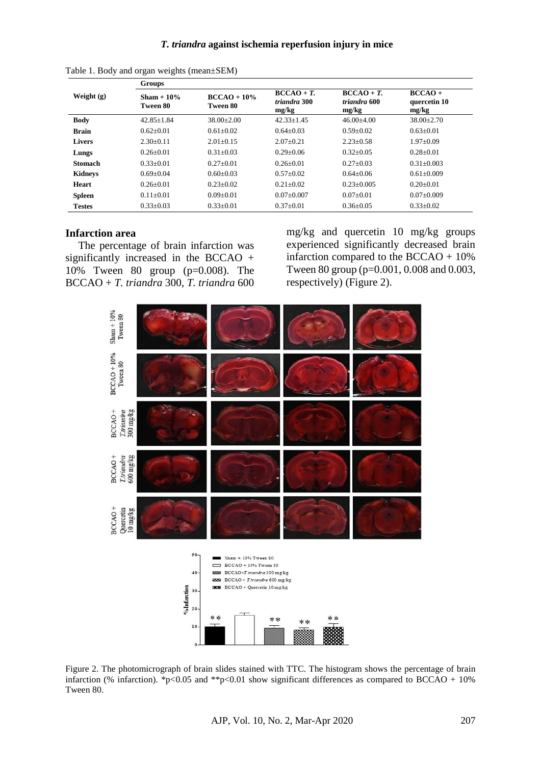|                | Groups                    |                            |                                     |                                     |                                    |
|----------------|---------------------------|----------------------------|-------------------------------------|-------------------------------------|------------------------------------|
| Weight $(g)$   | $Sham + 10\%$<br>Tween 80 | $BCCAO + 10\%$<br>Tween 80 | $BCCAO+T.$<br>triandra 300<br>mg/kg | $BCCAO+T.$<br>triandra 600<br>mg/kg | $BCCAO +$<br>quercetin 10<br>mg/kg |
| <b>Body</b>    | $42.85 + 1.84$            | $38.00 \pm 2.00$           | $42.33 + 1.45$                      | $46.00+4.00$                        | $38.00 \pm 2.70$                   |
| <b>Brain</b>   | $0.62+0.01$               | $0.61 + 0.02$              | $0.64 + 0.03$                       | $0.59 + 0.02$                       | $0.63+0.01$                        |
| <b>Livers</b>  | $2.30+0.11$               | $2.01 + 0.15$              | $2.07+0.21$                         | $2.23 + 0.58$                       | $1.97+0.09$                        |
| Lungs          | $0.26 + 0.01$             | $0.31 + 0.03$              | $0.29 + 0.06$                       | $0.32 + 0.05$                       | $0.28 + 0.01$                      |
| <b>Stomach</b> | $0.33 + 0.01$             | $0.27+0.01$                | $0.26 + 0.01$                       | $0.27 + 0.03$                       | $0.31 + 0.003$                     |
| <b>Kidneys</b> | $0.69 + 0.04$             | $0.60 + 0.03$              | $0.57+0.02$                         | $0.64 + 0.06$                       | $0.61 + 0.009$                     |
| <b>Heart</b>   | $0.26 + 0.01$             | $0.23 + 0.02$              | $0.21 + 0.02$                       | $0.23 + 0.005$                      | $0.20 + 0.01$                      |
| <b>Spleen</b>  | $0.11 + 0.01$             | $0.09 + 0.01$              | $0.07+0.007$                        | $0.07+0.01$                         | $0.07+0.009$                       |
| <b>Testes</b>  | $0.33 \pm 0.03$           | $0.33 \pm 0.01$            | $0.37+0.01$                         | $0.36 + 0.05$                       | $0.33 \pm 0.02$                    |

Table 1. Body and organ weights (mean±SEM)

#### **Infarction area**

The percentage of brain infarction was significantly increased in the BCCAO + 10% Tween 80 group (p=0.008). The BCCAO + *T. triandra* 300, *T. triandra* 600 mg/kg and quercetin 10 mg/kg groups experienced significantly decreased brain infarction compared to the BCCAO + 10% Tween 80 group (p=0.001, 0.008 and 0.003, respectively) (Figure 2).



Figure 2. The photomicrograph of brain slides stained with TTC. The histogram shows the percentage of brain infarction (% infarction). \*p<0.05 and \*\*p<0.01 show significant differences as compared to BCCAO + 10% Tween 80.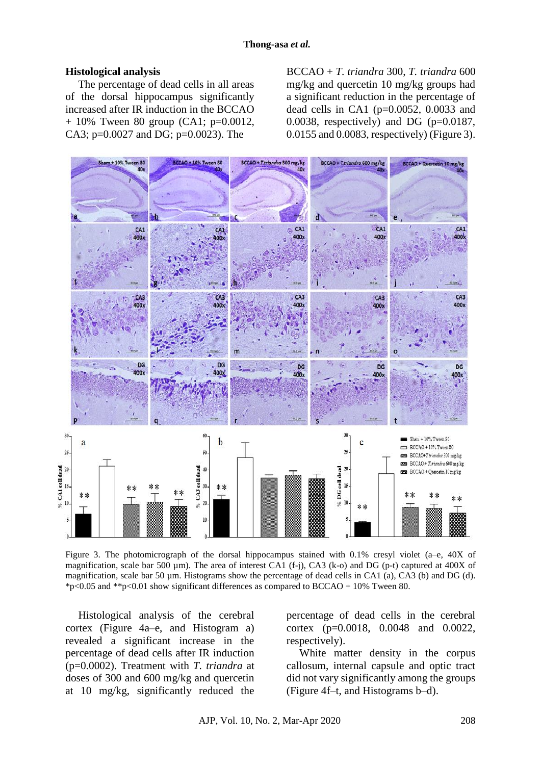#### **Histological analysis**

The percentage of dead cells in all areas of the dorsal hippocampus significantly increased after IR induction in the BCCAO  $+ 10\%$  Tween 80 group (CA1; p=0.0012, CA3; p=0.0027 and DG; p=0.0023). The

BCCAO + *T. triandra* 300, *T. triandra* 600 mg/kg and quercetin 10 mg/kg groups had a significant reduction in the percentage of dead cells in CA1 (p=0.0052, 0.0033 and 0.0038, respectively) and DG ( $p=0.0187$ , 0.0155 and 0.0083, respectively) (Figure 3).



Figure 3. The photomicrograph of the dorsal hippocampus stained with 0.1% cresyl violet (a–e, 40X of magnification, scale bar 500 µm). The area of interest CA1 (f-j), CA3 (k-o) and DG (p-t) captured at 400X of magnification, scale bar 50  $\mu$ m. Histograms show the percentage of dead cells in CA1 (a), CA3 (b) and DG (d).  $*p<0.05$  and  $*p<0.01$  show significant differences as compared to BCCAO + 10% Tween 80.

Histological analysis of the cerebral cortex (Figure 4a–e, and Histogram a) revealed a significant increase in the percentage of dead cells after IR induction (p=0.0002). Treatment with *T. triandra* at doses of 300 and 600 mg/kg and quercetin at 10 mg/kg, significantly reduced the

percentage of dead cells in the cerebral cortex (p=0.0018, 0.0048 and 0.0022, respectively).

White matter density in the corpus callosum, internal capsule and optic tract did not vary significantly among the groups (Figure 4f–t, and Histograms b–d).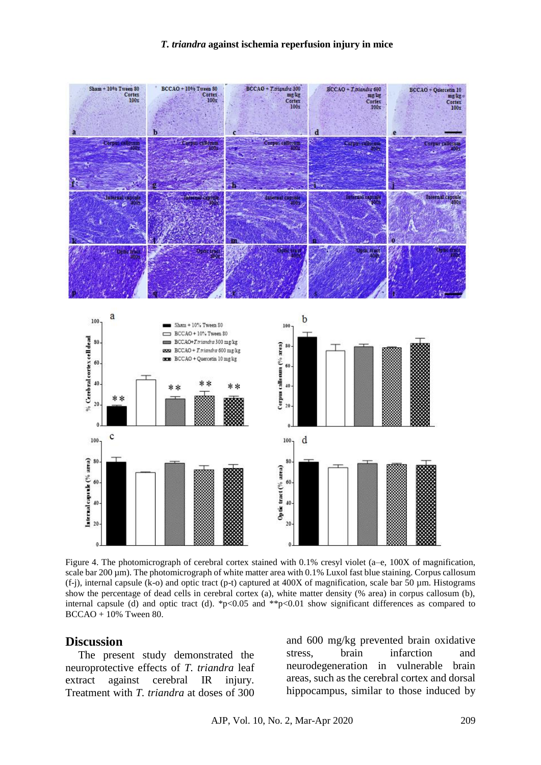#### *T. triandra* **against ischemia reperfusion injury in mice**



Figure 4. The photomicrograph of cerebral cortex stained with 0.1% cresyl violet (a–e, 100X of magnification, scale bar 200  $\mu$ m). The photomicrograph of white matter area with 0.1% Luxol fast blue staining. Corpus callosum  $(f-j)$ , internal capsule  $(k-0)$  and optic tract  $(p-t)$  captured at 400X of magnification, scale bar 50 µm. Histograms show the percentage of dead cells in cerebral cortex (a), white matter density (% area) in corpus callosum (b), internal capsule (d) and optic tract (d). \*p<0.05 and \*\*p $<0.01$  show significant differences as compared to BCCAO + 10% Tween 80.

### **Discussion**

The present study demonstrated the neuroprotective effects of *T. triandra* leaf extract against cerebral IR injury. Treatment with *T. triandra* at doses of 300

and 600 mg/kg prevented brain oxidative stress, brain infarction and neurodegeneration in vulnerable brain areas, such as the cerebral cortex and dorsal hippocampus, similar to those induced by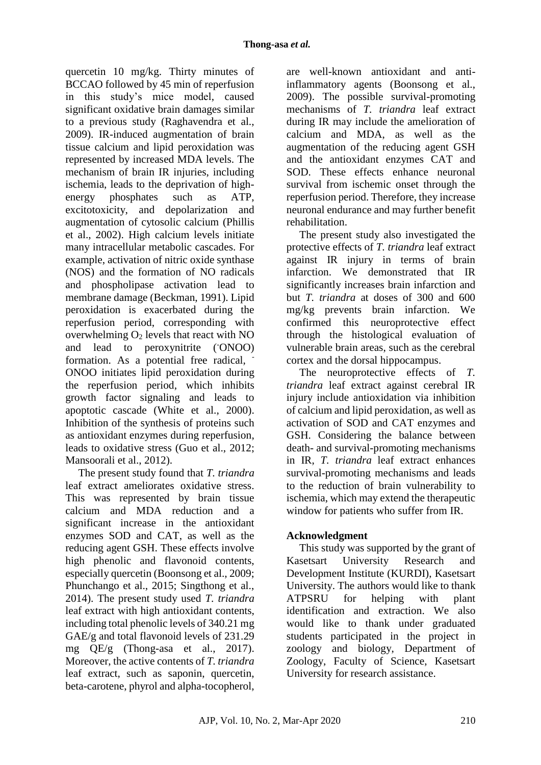quercetin 10 mg/kg. Thirty minutes of BCCAO followed by 45 min of reperfusion in this study's mice model, caused significant oxidative brain damages similar to a previous study (Raghavendra et al., 2009). IR-induced augmentation of brain tissue calcium and lipid peroxidation was represented by increased MDA levels. The mechanism of brain IR injuries, including ischemia, leads to the deprivation of highenergy phosphates such as ATP, excitotoxicity, and depolarization and augmentation of cytosolic calcium (Phillis et al., 2002). High calcium levels initiate many intracellular metabolic cascades. For example, activation of nitric oxide synthase (NOS) and the formation of NO radicals and phospholipase activation lead to membrane damage (Beckman, 1991). Lipid peroxidation is exacerbated during the reperfusion period, corresponding with overwhelming  $O<sub>2</sub>$  levels that react with NO and lead to peroxynitrite (ONOO) formation. As a potential free radical, - ONOO initiates lipid peroxidation during the reperfusion period, which inhibits growth factor signaling and leads to apoptotic cascade (White et al., 2000). Inhibition of the synthesis of proteins such as antioxidant enzymes during reperfusion, leads to oxidative stress (Guo et al., 2012; Mansoorali et al., 2012).

The present study found that *T. triandra* leaf extract ameliorates oxidative stress. This was represented by brain tissue calcium and MDA reduction and a significant increase in the antioxidant enzymes SOD and CAT, as well as the reducing agent GSH. These effects involve high phenolic and flavonoid contents, especially quercetin (Boonsong et al., 2009; Phunchango et al., 2015; Singthong et al., 2014). The present study used *T. triandra* leaf extract with high antioxidant contents, including total phenolic levels of 340.21 mg GAE/g and total flavonoid levels of 231.29 mg QE/g (Thong-asa et al., 2017). Moreover, the active contents of *T. triandra* leaf extract, such as saponin, quercetin, beta-carotene, phyrol and alpha-tocopherol,

are well-known antioxidant and antiinflammatory agents (Boonsong et al., 2009). The possible survival-promoting mechanisms of *T. triandra* leaf extract during IR may include the amelioration of calcium and MDA, as well as the augmentation of the reducing agent GSH and the antioxidant enzymes CAT and SOD. These effects enhance neuronal survival from ischemic onset through the reperfusion period. Therefore, they increase neuronal endurance and may further benefit rehabilitation.

The present study also investigated the protective effects of *T. triandra* leaf extract against IR injury in terms of brain infarction. We demonstrated that IR significantly increases brain infarction and but *T. triandra* at doses of 300 and 600 mg/kg prevents brain infarction. We confirmed this neuroprotective effect through the histological evaluation of vulnerable brain areas, such as the cerebral cortex and the dorsal hippocampus.

The neuroprotective effects of *T. triandra* leaf extract against cerebral IR injury include antioxidation via inhibition of calcium and lipid peroxidation, as well as activation of SOD and CAT enzymes and GSH. Considering the balance between death- and survival-promoting mechanisms in IR, *T. triandra* leaf extract enhances survival-promoting mechanisms and leads to the reduction of brain vulnerability to ischemia, which may extend the therapeutic window for patients who suffer from IR.

# **Acknowledgment**

This study was supported by the grant of Kasetsart University Research and Development Institute (KURDI), Kasetsart University. The authors would like to thank ATPSRU for helping with plant identification and extraction. We also would like to thank under graduated students participated in the project in zoology and biology, Department of Zoology, Faculty of Science, Kasetsart University for research assistance.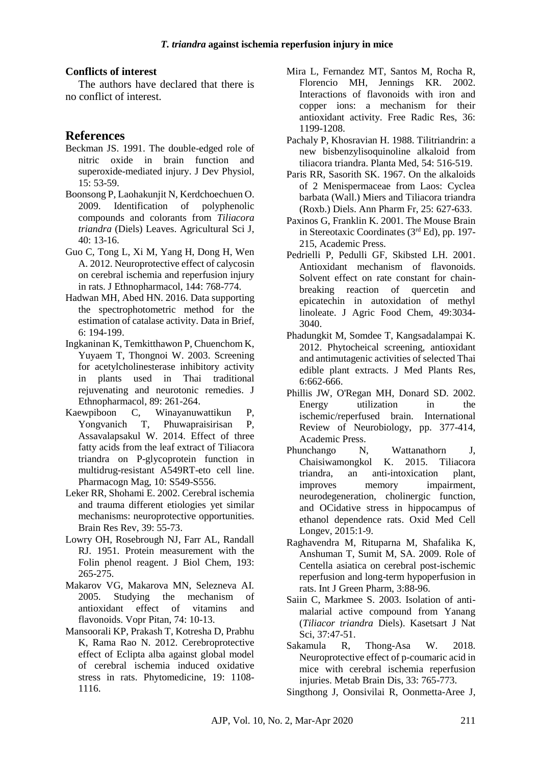#### **Conflicts of interest**

The authors have declared that there is no conflict of interest.

## **References**

- Beckman JS. 1991. The double-edged role of nitric oxide in brain function and superoxide-mediated injury. J Dev Physiol, 15: 53-59.
- Boonsong P, Laohakunjit N, Kerdchoechuen O. 2009. Identification of polyphenolic compounds and colorants from *Tiliacora triandra* (Diels) Leaves. Agricultural Sci J, 40: 13-16.
- Guo C, Tong L, Xi M, Yang H, Dong H, Wen A. 2012. Neuroprotective effect of calycosin on cerebral ischemia and reperfusion injury in rats. J Ethnopharmacol, 144: 768-774.
- Hadwan MH, Abed HN. 2016. Data supporting the spectrophotometric method for the estimation of catalase activity. Data in Brief, 6: 194-199.
- Ingkaninan K, Temkitthawon P, Chuenchom K, Yuyaem T, Thongnoi W. 2003. Screening for acetylcholinesterase inhibitory activity in plants used in Thai traditional rejuvenating and neurotonic remedies. J Ethnopharmacol, 89: 261-264.
- Kaewpiboon C, Winayanuwattikun P, Yongvanich T, Phuwapraisirisan P, Assavalapsakul W. 2014. Effect of three fatty acids from the leaf extract of Tiliacora triandra on P-glycoprotein function in multidrug-resistant A549RT-eto cell line. Pharmacogn Mag, 10: S549-S556.
- Leker RR, Shohami E. 2002. Cerebral ischemia and trauma different etiologies yet similar mechanisms: neuroprotective opportunities. Brain Res Rev, 39: 55-73.
- Lowry OH, Rosebrough NJ, Farr AL, Randall RJ. 1951. Protein measurement with the Folin phenol reagent. J Biol Chem, 193: 265-275.
- Makarov VG, Makarova MN, Selezneva AI. 2005. Studying the mechanism of antioxidant effect of vitamins and flavonoids. Vopr Pitan, 74: 10-13.
- Mansoorali KP, Prakash T, Kotresha D, Prabhu K, Rama Rao N. 2012. Cerebroprotective effect of Eclipta alba against global model of cerebral ischemia induced oxidative stress in rats. Phytomedicine, 19: 1108- 1116.
- Mira L, Fernandez MT, Santos M, Rocha R, Florencio MH, Jennings KR. 2002. Interactions of flavonoids with iron and copper ions: a mechanism for their antioxidant activity. Free Radic Res, 36: 1199-1208.
- Pachaly P, Khosravian H. 1988. Tilitriandrin: a new bisbenzylisoquinoline alkaloid from tiliacora triandra. Planta Med, 54: 516-519.
- Paris RR, Sasorith SK. 1967. On the alkaloids of 2 Menispermaceae from Laos: Cyclea barbata (Wall.) Miers and Tiliacora triandra (Roxb.) Diels. Ann Pharm Fr, 25: 627-633.
- Paxinos G, Franklin K. 2001. The Mouse Brain in Stereotaxic Coordinates (3rd Ed), pp. 197- 215, Academic Press.
- Pedrielli P, Pedulli GF, Skibsted LH. 2001. Antioxidant mechanism of flavonoids. Solvent effect on rate constant for chainbreaking reaction of quercetin and epicatechin in autoxidation of methyl linoleate. J Agric Food Chem, 49:3034- 3040.
- Phadungkit M, Somdee T, Kangsadalampai K. 2012. Phytocheical screening, antioxidant and antimutagenic activities of selected Thai edible plant extracts. J Med Plants Res, 6:662-666.
- Phillis JW, O'Regan MH, Donard SD. 2002. Energy utilization in the ischemic/reperfused brain. International Review of Neurobiology, pp. 377-414, Academic Press.
- Phunchango N, Wattanathorn J, Chaisiwamongkol K. 2015. Tiliacora triandra, an anti-intoxication plant, improves memory impairment, neurodegeneration, cholinergic function, and OCidative stress in hippocampus of ethanol dependence rats. Oxid Med Cell Longev, 2015:1-9.
- Raghavendra M, Rituparna M, Shafalika K, Anshuman T, Sumit M, SA. 2009. Role of Centella asiatica on cerebral post-ischemic reperfusion and long-term hypoperfusion in rats. Int J Green Pharm, 3:88-96.
- Saiin C, Markmee S. 2003. Isolation of antimalarial active compound from Yanang (*Tiliacor triandra* Diels). Kasetsart J Nat Sci, 37:47-51.
- Sakamula R, Thong-Asa W. 2018. Neuroprotective effect of p-coumaric acid in mice with cerebral ischemia reperfusion injuries. Metab Brain Dis, 33: 765-773.
- Singthong J, Oonsivilai R, Oonmetta-Aree J,